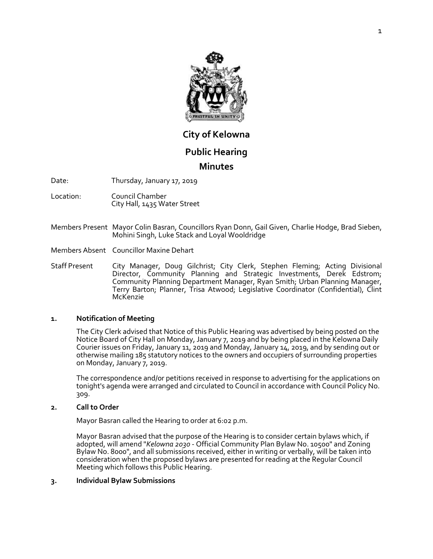

# **City of Kelowna**

# **Public Hearing**

# **Minutes**

Date: Thursday, January 17, 2019

- Location: Council Chamber City Hall, 1435 Water Street
- Members Present Mayor Colin Basran, Councillors Ryan Donn, Gail Given, Charlie Hodge, Brad Sieben, Mohini Singh, Luke Stack and Loyal Wooldridge
- Members Absent Councillor Maxine Dehart
- Staff Present City Manager, Doug Gilchrist; City Clerk, Stephen Fleming; Acting Divisional Director, Community Planning and Strategic Investments, Derek Edstrom; Community Planning Department Manager, Ryan Smith; Urban Planning Manager, Terry Barton; Planner, Trisa Atwood; Legislative Coordinator (Confidential), Clint McKenzie

#### **1. Notification of Meeting**

The City Clerk advised that Notice of this Public Hearing was advertised by being posted on the Notice Board of City Hall on Monday, January 7, 2019 and by being placed in the Kelowna Daily Courier issues on Friday, January 11, 2019 and Monday, January 14, 2019, and by sending out or otherwise mailing 185 statutory notices to the owners and occupiers of surrounding properties on Monday, January 7, 2019.

The correspondence and/or petitions received in response to advertising for the applications on tonight's agenda were arranged and circulated to Council in accordance with Council Policy No. 309.

#### **2. Call to Order**

Mayor Basran called the Hearing to order at 6:02 p.m.

Mayor Basran advised that the purpose of the Hearing is to consider certain bylaws which, if adopted, will amend "*Kelowna 2030* - Official Community Plan Bylaw No. 10500" and Zoning Bylaw No. 8000", and all submissions received, either in writing or verbally, will be taken into consideration when the proposed bylaws are presented for reading at the Regular Council Meeting which follows this Public Hearing.

#### **3. Individual Bylaw Submissions**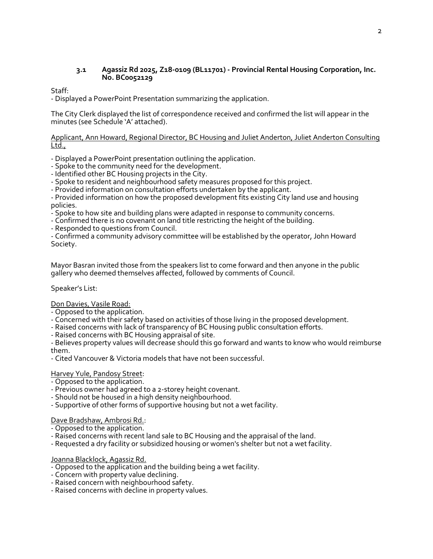# **3.1 Agassiz Rd 2025, Z18-0109 (BL11701) - Provincial Rental Housing Corporation, Inc. No. BC0052129**

# Staff:

- Displayed a PowerPoint Presentation summarizing the application.

The City Clerk displayed the list of correspondence received and confirmed the list will appear in the minutes (see Schedule 'A' attached).

# Applicant, Ann Howard, Regional Director, BC Housing and Juliet Anderton, Juliet Anderton Consulting Ltd.,

- Displayed a PowerPoint presentation outlining the application.

- Spoke to the community need for the development.

- Identified other BC Housing projects in the City.
- Spoke to resident and neighbourhood safety measures proposed for this project.
- Provided information on consultation efforts undertaken by the applicant.

- Provided information on how the proposed development fits existing City land use and housing policies.

- Spoke to how site and building plans were adapted in response to community concerns.

- Confirmed there is no covenant on land title restricting the height of the building.

- Responded to questions from Council.

- Confirmed a community advisory committee will be established by the operator, John Howard Society.

Mayor Basran invited those from the speakers list to come forward and then anyone in the public gallery who deemed themselves affected, followed by comments of Council.

# Speaker's List:

# Don Davies, Vasile Road:

- Opposed to the application.
- Concerned with their safety based on activities of those living in the proposed development.
- Raised concerns with lack of transparency of BC Housing public consultation efforts.
- Raised concerns with BC Housing appraisal of site.

- Believes property values will decrease should this go forward and wants to know who would reimburse them.

- Cited Vancouver & Victoria models that have not been successful.

# Harvey Yule, Pandosy Street:

- Opposed to the application.
- Previous owner had agreed to a 2-storey height covenant.
- Should not be housed in a high density neighbourhood.
- Supportive of other forms of supportive housing but not a wet facility.
- Dave Bradshaw, Ambrosi Rd.:
- Opposed to the application.
- Raised concerns with recent land sale to BC Housing and the appraisal of the land.
- Requested a dry facility or subsidized housing or women's shelter but not a wet facility.

# Joanna Blacklock, Agassiz Rd.

- Opposed to the application and the building being a wet facility.
- Concern with property value declining.
- Raised concern with neighbourhood safety.
- Raised concerns with decline in property values.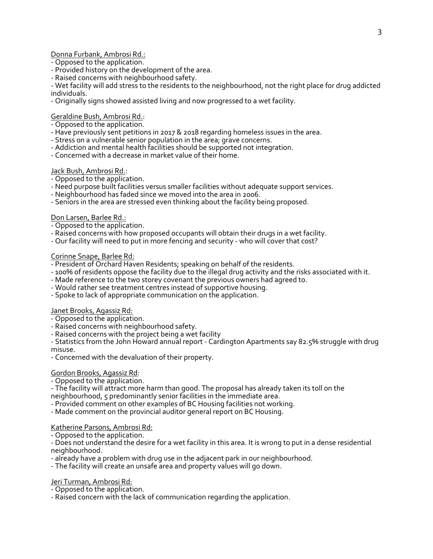Donna Furbank, Ambrosi Rd.:

- Opposed to the application.
- Provided history on the development of the area.
- Raised concerns with neighbourhood safety.

- Wet facility will add stress to the residents to the neighbourhood, not the right place for drug addicted individuals.

- Originally signs showed assisted living and now progressed to a wet facility.

Geraldine Bush, Ambrosi Rd.:

- Opposed to the application.
- Have previously sent petitions in 2017 & 2018 regarding homeless issues in the area.
- Stress on a vulnerable senior population in the area; grave concerns.
- Addiction and mental health facilities should be supported not integration.
- Concerned with a decrease in market value of their home.

# Jack Bush, Ambrosi Rd.:

- Opposed to the application.
- Need purpose built facilities versus smaller facilities without adequate support services.
- Neighbourhood has faded since we moved into the area in 2006.
- Seniors in the area are stressed even thinking about the facility being proposed.

# Don Larsen, Barlee Rd.:

- Opposed to the application.
- Raised concerns with how proposed occupants will obtain their drugs in a wet facility.
- Our facility will need to put in more fencing and security who will cover that cost?

# Corinne Snape, Barlee Rd:

- President of Orchard Haven Residents; speaking on behalf of the residents.
- 100% of residents oppose the facility due to the illegal drug activity and the risks associated with it.
- Made reference to the two storey covenant the previous owners had agreed to.
- Would rather see treatment centres instead of supportive housing.
- Spoke to lack of appropriate communication on the application.

#### Janet Brooks, Agassiz Rd:

- Opposed to the application.
- Raised concerns with neighbourhood safety.
- Raised concerns with the project being a wet facility

- Statistics from the John Howard annual report - Cardington Apartments say 82.5% struggle with drug misuse.

- Concerned with the devaluation of their property.

# Gordon Brooks, Agassiz Rd:

- Opposed to the application.
- The facility will attract more harm than good. The proposal has already taken its toll on the
- neighbourhood, 5 predominantly senior facilities in the immediate area.
- Provided comment on other examples of BC Housing facilities not working.
- Made comment on the provincial auditor general report on BC Housing.

# Katherine Parsons, Ambrosi Rd:

- Opposed to the application.

- Does not understand the desire for a wet facility in this area. It is wrong to put in a dense residential neighbourhood.

- already have a problem with drug use in the adjacent park in our neighbourhood.
- The facility will create an unsafe area and property values will go down.

# Jeri Turman, Ambrosi Rd:

- Opposed to the application.
- Raised concern with the lack of communication regarding the application.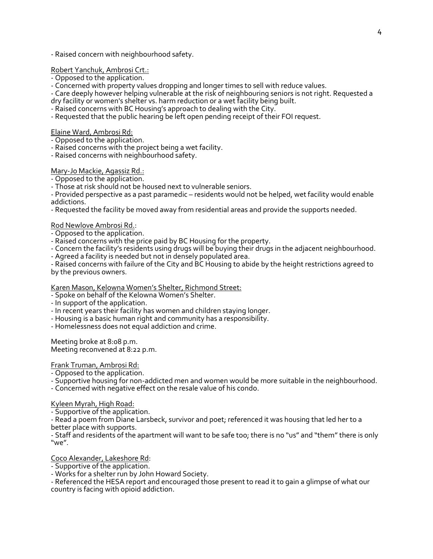- Raised concern with neighbourhood safety.

# Robert Yanchuk, Ambrosi Crt.:

- Opposed to the application.

- Concerned with property values dropping and longer times to sell with reduce values.

- Care deeply however helping vulnerable at the risk of neighbouring seniors is not right. Requested a dry facility or women's shelter vs. harm reduction or a wet facility being built.

- Raised concerns with BC Housing's approach to dealing with the City.

- Requested that the public hearing be left open pending receipt of their FOI request.

Elaine Ward, Ambrosi Rd:

- Opposed to the application.

- Raised concerns with the project being a wet facility.

- Raised concerns with neighbourhood safety.

# Mary-Jo Mackie, Agassiz Rd.:

- Opposed to the application.

- Those at risk should not be housed next to vulnerable seniors.

- Provided perspective as a past paramedic – residents would not be helped, wet facility would enable addictions.

- Requested the facility be moved away from residential areas and provide the supports needed.

Rod Newlove Ambrosi Rd.:

- Opposed to the application.

- Raised concerns with the price paid by BC Housing for the property.

- Concern the facility's residents using drugs will be buying their drugs in the adjacent neighbourhood.

- Agreed a facility is needed but not in densely populated area.

- Raised concerns with failure of the City and BC Housing to abide by the height restrictions agreed to by the previous owners.

#### Karen Mason, Kelowna Women's Shelter, Richmond Street:

- Spoke on behalf of the Kelowna Women's Shelter.
- In support of the application.
- In recent years their facility has women and children staying longer.
- Housing is a basic human right and community has a responsibility.
- Homelessness does not equal addiction and crime.

Meeting broke at 8:08 p.m. Meeting reconvened at 8:22 p.m.

Frank Truman, Ambrosi Rd:

- Opposed to the application.

- Supportive housing for non-addicted men and women would be more suitable in the neighbourhood.

- Concerned with negative effect on the resale value of his condo.

Kyleen Myrah, High Road:

- Supportive of the application.

- Read a poem from Diane Larsbeck, survivor and poet; referenced it was housing that led her to a better place with supports.

- Staff and residents of the apartment will want to be safe too; there is no "us" and "them"there is only "we".

Coco Alexander, Lakeshore Rd:

- Supportive of the application.

- Works for a shelter run by John Howard Society.

- Referenced the HESA report and encouraged those present to read it to gain a glimpse of what our country is facing with opioid addiction.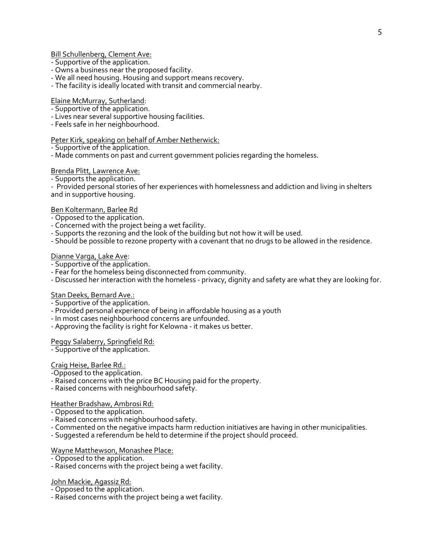Bill Schullenberg, Clement Ave:

- Supportive of the application.
- Owns a business near the proposed facility.
- We all need housing. Housing and support means recovery.
- The facility is ideally located with transit and commercial nearby.

### Elaine McMurray, Sutherland:

- Supportive of the application.
- Lives near several supportive housing facilities.
- Feels safe in her neighbourhood.

# Peter Kirk, speaking on behalf of Amber Netherwick:

- Supportive of the application.
- Made comments on past and current government policies regarding the homeless.

# Brenda Plitt, Lawrence Ave:

- Supports the application.

- Provided personal stories of her experiences with homelessness and addiction and living in shelters and in supportive housing.

# Ben Koltermann, Barlee Rd

- Opposed to the application.
- Concerned with the project being a wet facility.
- Supports the rezoning and the look of the building but not how it will be used.
- Should be possible to rezone property with a covenant that no drugs to be allowed in the residence.

# Dianne Varga, Lake Ave:

- Supportive of the application.
- Fear for the homeless being disconnected from community.
- Discussed her interaction with the homeless privacy, dignity and safety are what they are looking for.

# Stan Deeks, Bernard Ave.:

- Supportive of the application.
- Provided personal experience of being in affordable housing as a youth
- In most cases neighbourhood concerns are unfounded.
- Approving the facility is right for Kelowna it makes us better.

#### Peggy Salaberry, Springfield Rd:

- Supportive of the application.

# Craig Heise, Barlee Rd.:

-Opposed to the application.

- Raised concerns with the price BC Housing paid for the property.
- Raised concerns with neighbourhood safety.

#### Heather Bradshaw, Ambrosi Rd:

- Opposed to the application.
- Raised concerns with neighbourhood safety.
- Commented on the negative impacts harm reduction initiatives are having in other municipalities.
- Suggested a referendum be held to determine if the project should proceed.

#### Wayne Matthewson, Monashee Place:

- Opposed to the application.
- Raised concerns with the project being a wet facility.

#### John Mackie, Agassiz Rd:

- Opposed to the application.
- Raised concerns with the project being a wet facility.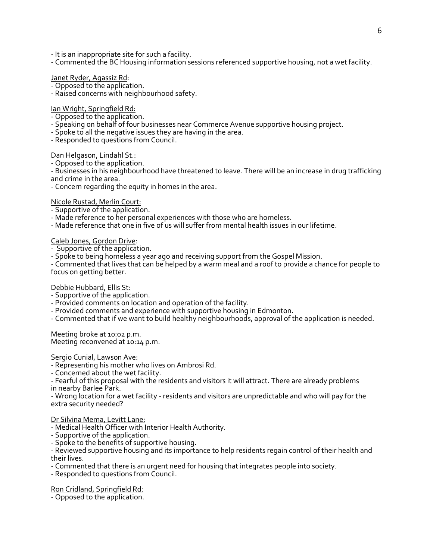- It is an inappropriate site for such a facility.

- Commented the BC Housing information sessions referenced supportive housing, not a wet facility.

# Janet Ryder, Agassiz Rd:

- Opposed to the application.
- Raised concerns with neighbourhood safety.

#### Ian Wright, Springfield Rd:

- Opposed to the application.
- Speaking on behalf of four businesses near Commerce Avenue supportive housing project.
- Spoke to all the negative issues they are having in the area.
- Responded to questions from Council.

#### Dan Helgason, Lindahl St.:

- Opposed to the application.

- Businesses in his neighbourhood have threatened to leave. There will be an increase in drug trafficking and crime in the area.

- Concern regarding the equity in homes in the area.

#### Nicole Rustad, Merlin Court:

- Supportive of the application.
- Made reference to her personal experiences with those who are homeless.
- Made reference that one in five of us will suffer from mental health issues in our lifetime.

#### Caleb Jones, Gordon Drive:

- Supportive of the application.
- Spoke to being homeless a year ago and receiving support from the Gospel Mission.

- Commented that lives that can be helped by a warm meal and a roof to provide a chance for people to focus on getting better.

#### Debbie Hubbard, Ellis St:

- Supportive of the application.
- Provided comments on location and operation of the facility.
- Provided comments and experience with supportive housing in Edmonton.
- Commented that if we want to build healthy neighbourhoods, approval of the application is needed.

Meeting broke at 10:02 p.m. Meeting reconvened at 10:14 p.m.

#### Sergio Cunial, Lawson Ave:

- Representing his mother who lives on Ambrosi Rd.
- Concerned about the wet facility.

- Fearful of this proposal with the residents and visitors it will attract. There are already problems in nearby Barlee Park.

- Wrong location for a wet facility - residents and visitors are unpredictable and who will pay for the extra security needed?

#### Dr Silvina Mema, Levitt Lane:

- Medical Health Officer with Interior Health Authority.
- Supportive of the application.
- Spoke to the benefits of supportive housing.
- Reviewed supportive housing and its importance to help residents regain control of their health and their lives.
- Commented that there is an urgent need for housing that integrates people into society.
- Responded to questions from Council.

#### Ron Cridland, Springfield Rd:

- Opposed to the application.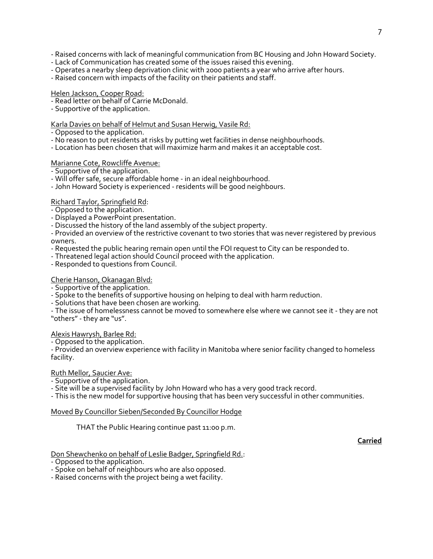- Raised concerns with lack of meaningful communication from BC Housing and John Howard Society.

- Lack of Communication has created some of the issues raised this evening.
- Operates a nearby sleep deprivation clinic with 2000 patients a year who arrive after hours.
- Raised concern with impacts of the facility on their patients and staff.

#### Helen Jackson, Cooper Road:

- Read letter on behalf of Carrie McDonald.
- Supportive of the application.

#### Karla Davies on behalf of Helmut and Susan Herwig, Vasile Rd:

- Opposed to the application.
- No reason to put residents at risks by putting wet facilities in dense neighbourhoods.
- Location has been chosen that will maximize harm and makes it an acceptable cost.

# Marianne Cote, Rowcliffe Avenue:

- Supportive of the application.

- Will offer safe, secure affordable home in an ideal neighbourhood.
- John Howard Society is experienced residents will be good neighbours.

#### Richard Taylor, Springfield Rd:

- Opposed to the application.
- Displayed a PowerPoint presentation.
- Discussed the history of the land assembly of the subject property.

- Provided an overview of the restrictive covenant to two stories that was never registered by previous owners.

- Requested the public hearing remain open until the FOI request to City can be responded to.
- Threatened legal action should Council proceed with the application.
- Responded to questions from Council.

# Cherie Hanson, Okanagan Blvd:

- Supportive of the application.
- Spoke to the benefits of supportive housing on helping to deal with harm reduction.
- Solutions that have been chosen are working.
- The issue of homelessness cannot be moved to somewhere else where we cannot see it they are not "others"- they are "us".

#### Alexis Hawrysh, Barlee Rd:

- Opposed to the application.

- Provided an overview experience with facility in Manitoba where senior facility changed to homeless facility.

# Ruth Mellor, Saucier Ave:

- Supportive of the application.
- Site will be a supervised facility by John Howard who has a very good track record.

- This is the new model for supportive housing that has been very successful in other communities.

#### Moved By Councillor Sieben/Seconded By Councillor Hodge

THAT the Public Hearing continue past 11:00 p.m.

#### **Carried**

#### Don Shewchenko on behalf of Leslie Badger, Springfield Rd.:

- Opposed to the application.

- Spoke on behalf of neighbours who are also opposed.

- Raised concerns with the project being a wet facility.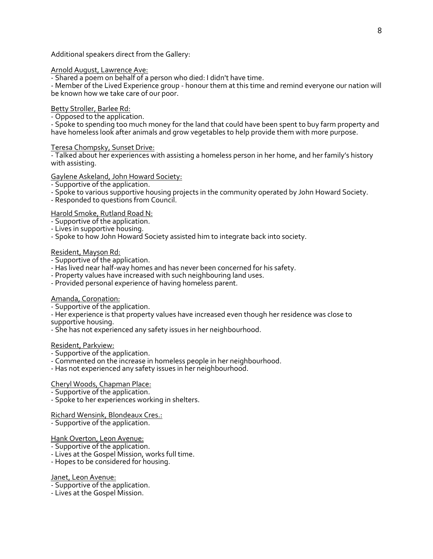Additional speakers direct from the Gallery:

### Arnold August, Lawrence Ave:

- Shared a poem on behalf of a person who died: I didn't have time.

- Member of the Lived Experience group - honour them at this time and remind everyone our nation will be known how we take care of our poor.

# Betty Stroller, Barlee Rd:

- Opposed to the application.

- Spoke to spending too much money for the land that could have been spent to buy farm property and have homeless look after animals and grow vegetables to help provide them with more purpose.

#### Teresa Chompsky, Sunset Drive:

- Talked about her experiences with assisting a homeless person in her home, and her family's history with assisting.

# Gaylene Askeland, John Howard Society:

- Supportive of the application.
- Spoke to various supportive housing projects in the community operated by John Howard Society.
- Responded to questions from Council.

# Harold Smoke, Rutland Road N:

- Supportive of the application.
- Lives in supportive housing.
- Spoke to how John Howard Society assisted him to integrate back into society.

# Resident, Mayson Rd:

- Supportive of the application.
- Has lived near half-way homes and has never been concerned for his safety.
- Property values have increased with such neighbouring land uses.
- Provided personal experience of having homeless parent.

#### Amanda, Coronation:

- Supportive of the application.
- Her experience is that property values have increased even though her residence was close to supportive housing.
- She has not experienced any safety issues in her neighbourhood.

#### Resident, Parkview:

- Supportive of the application.
- Commented on the increase in homeless people in her neighbourhood.
- Has not experienced any safety issues in her neighbourhood.

# Cheryl Woods, Chapman Place:

- Supportive of the application.
- Spoke to her experiences working in shelters.

Richard Wensink, Blondeaux Cres.:

- Supportive of the application.

# Hank Overton, Leon Avenue:

- Supportive of the application.
- Lives at the Gospel Mission, works full time.
- Hopes to be considered for housing.

#### Janet, Leon Avenue:

- Supportive of the application.
- Lives at the Gospel Mission.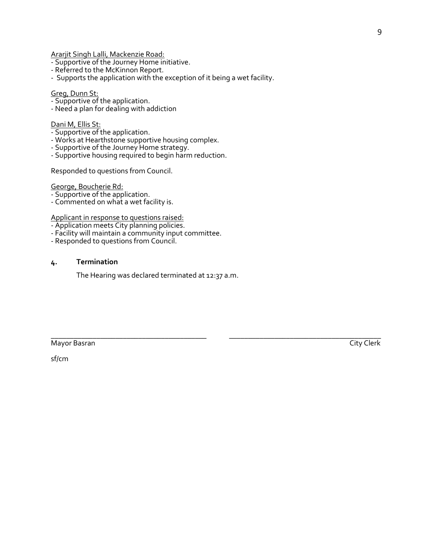Ararjit Singh Lalli, Mackenzie Road:

- Supportive of the Journey Home initiative.
- Referred to the McKinnon Report.
- Supports the application with the exception of it being a wet facility.

# Greg, Dunn St:

- Supportive of the application.
- Need a plan for dealing with addiction

#### Dani M, Ellis St:

- Supportive of the application.
- Works at Hearthstone supportive housing complex.
- Supportive of the Journey Home strategy.
- Supportive housing required to begin harm reduction.

Responded to questions from Council.

George, Boucherie Rd:

- Supportive of the application.

- Commented on what a wet facility is.

Applicant in response to questions raised:

- Application meets City planning policies.
- Facility will maintain a community input committee.
- Responded to questions from Council.

#### **4. Termination**

The Hearing was declared terminated at 12:37 a.m.

\_\_\_\_\_\_\_\_\_\_\_\_\_\_\_\_\_\_\_\_\_\_\_\_\_\_\_\_\_\_\_\_\_\_\_\_\_\_\_\_\_ \_\_\_\_\_\_\_\_\_\_\_\_\_\_\_\_\_\_\_\_\_\_\_\_\_\_\_\_\_\_\_\_\_\_\_\_\_\_\_\_ Mayor Basran City Clerk

9

sf/cm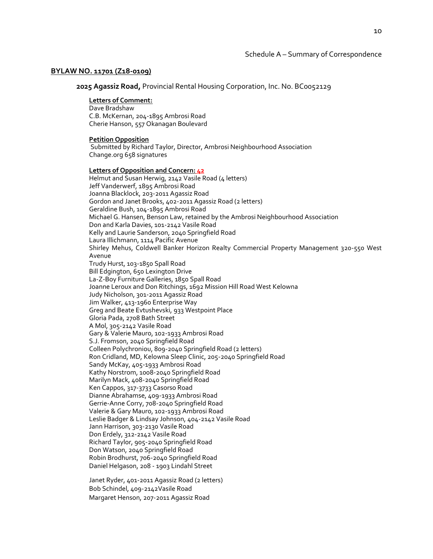#### **BYLAW NO. 11701 (Z18-0109)**

**2025 Agassiz Road,** Provincial Rental Housing Corporation, Inc. No. BC0052129

#### **Letters of Comment:**

Dave Bradshaw C.B. McKernan, 204-1895 Ambrosi Road Cherie Hanson, 557 Okanagan Boulevard

#### **Petition Opposition**

Submitted by Richard Taylor, Director, Ambrosi Neighbourhood Association Change.org 658 signatures

#### **Letters of Opposition and Concern: 42**

Helmut and Susan Herwig, 2142 Vasile Road (4 letters) Jeff Vanderwerf, 1895 Ambrosi Road Joanna Blacklock, 203-2011 Agassiz Road Gordon and Janet Brooks, 402-2011 Agassiz Road (2 letters) Geraldine Bush, 104-1895 Ambrosi Road Michael G. Hansen, Benson Law, retained by the Ambrosi Neighbourhood Association Don and Karla Davies, 101-2142 Vasile Road Kelly and Laurie Sanderson, 2040 Springfield Road Laura Illichmann, 1114 Pacific Avenue Shirley Mehus, Coldwell Banker Horizon Realty Commercial Property Management 320-550 West Avenue Trudy Hurst, 103-1850 Spall Road Bill Edgington, 650 Lexington Drive La-Z-Boy Furniture Galleries, 1850 Spall Road Joanne Leroux and Don Ritchings, 1692 Mission Hill Road West Kelowna Judy Nicholson, 301-2011 Agassiz Road Jim Walker, 413-1960 Enterprise Way Greg and Beate Evtushevski, 933 Westpoint Place Gloria Pada, 2708 Bath Street A Mol, 305-2142 Vasile Road Gary & Valerie Mauro, 102-1933 Ambrosi Road S.J. Fromson, 2040 Springfield Road Colleen Polychroniou, 809-2040 Springfield Road (2 letters) Ron Cridland, MD, Kelowna Sleep Clinic, 205-2040 Springfield Road Sandy McKay, 405-1933 Ambrosi Road Kathy Norstrom, 1008-2040 Springfield Road Marilyn Mack, 408-2040 Springfield Road Ken Cappos, 317-3733 Casorso Road Dianne Abrahamse, 409-1933 Ambrosi Road Gerrie-Anne Corry, 708-2040 Springfield Road Valerie & Gary Mauro, 102-1933 Ambrosi Road Leslie Badger & Lindsay Johnson, 404-2142 Vasile Road Jann Harrison, 303-2130 Vasile Road Don Erdely, 312-2142 Vasile Road Richard Taylor, 905-2040 Springfield Road Don Watson, 2040 Springfield Road Robin Brodhurst, 706-2040 Springfield Road Daniel Helgason, 208 - 1903 Lindahl Street

Janet Ryder, 401-2011 Agassiz Road (2 letters) Bob Schindel, 409-2142Vasile Road Margaret Henson, 207-2011 Agassiz Road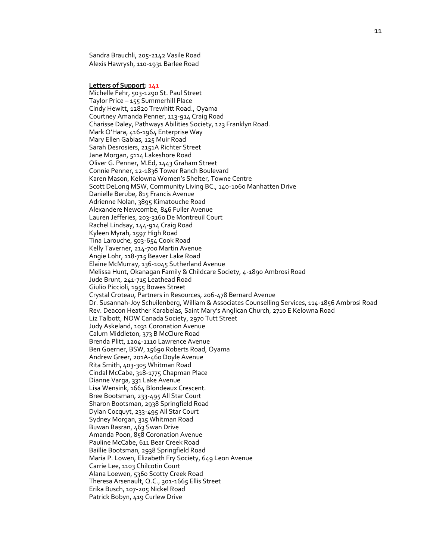Sandra Brauchli, 205-2142 Vasile Road Alexis Hawrysh, 110-1931 Barlee Road

**Letters of Support: 141**

Michelle Fehr, 503-1290 St. Paul Street Taylor Price – 155 Summerhill Place Cindy Hewitt, 12820 Trewhitt Road., Oyama Courtney Amanda Penner, 113-914 Craig Road Charisse Daley, Pathways Abilities Society, 123 Franklyn Road. Mark O'Hara, 416-1964 Enterprise Way Mary Ellen Gabias, 125 Muir Road Sarah Desrosiers, 2151A Richter Street Jane Morgan, 5114 Lakeshore Road Oliver G. Penner, M.Ed, 1443 Graham Street Connie Penner, 12-1836 Tower Ranch Boulevard Karen Mason, Kelowna Women's Shelter, Towne Centre Scott DeLong MSW, Community Living BC., 140-1060 Manhatten Drive Danielle Berube, 815 Francis Avenue Adrienne Nolan, 3895 Kimatouche Road Alexandere Newcombe, 846 Fuller Avenue Lauren Jefferies, 203-3160 De Montreuil Court Rachel Lindsay, 144-914 Craig Road Kyleen Myrah, 1597 High Road Tina Larouche, 503-654 Cook Road Kelly Taverner, 214-700 Martin Avenue Angie Lohr, 118-715 Beaver Lake Road Elaine McMurray, 136-1045 Sutherland Avenue Melissa Hunt, Okanagan Family & Childcare Society, 4-1890 Ambrosi Road Jude Brunt, 241-715 Leathead Road Giulio Piccioli, 1955 Bowes Street Crystal Croteau, Partners in Resources, 206-478 Bernard Avenue Dr. Susannah-Joy Schuilenberg, William & Associates Counselling Services, 114-1856 Ambrosi Road Rev. Deacon Heather Karabelas, Saint Mary's Anglican Church, 2710 E Kelowna Road Liz Talbott, NOW Canada Society, 2970 Tutt Street Judy Askeland, 1031 Coronation Avenue Calum Middleton, 373 B McClure Road Brenda Plitt, 1204-1110 Lawrence Avenue Ben Goerner, BSW, 15690 Roberts Road, Oyama Andrew Greer, 201A-460 Doyle Avenue Rita Smith, 403-305 Whitman Road Cindal McCabe, 318-1775 Chapman Place Dianne Varga, 331 Lake Avenue Lisa Wensink, 1664 Blondeaux Crescent. Bree Bootsman, 233-495 All Star Court Sharon Bootsman, 2938 Springfield Road Dylan Cocquyt, 233-495 All Star Court Sydney Morgan, 315 Whitman Road Buwan Basran, 463 Swan Drive Amanda Poon, 858 Coronation Avenue Pauline McCabe, 611 Bear Creek Road Baillie Bootsman, 2938 Springfield Road Maria P. Lowen, Elizabeth Fry Society, 649 Leon Avenue Carrie Lee, 1103 Chilcotin Court Alana Loewen, 5360 Scotty Creek Road Theresa Arsenault, Q.C., 301-1665 Ellis Street Erika Busch, 107-205 Nickel Road Patrick Bobyn, 419 Curlew Drive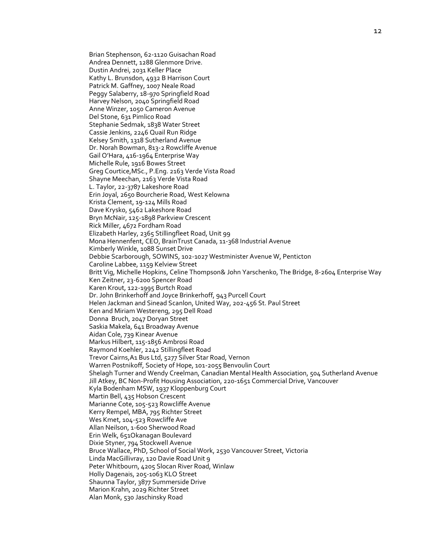Brian Stephenson, 62-1120 Guisachan Road Andrea Dennett, 1288 Glenmore Drive. Dustin Andrei, 2031 Keller Place Kathy L. Brunsdon, 4932 B Harrison Court Patrick M. Gaffney, 1007 Neale Road Peggy Salaberry, 18-970 Springfield Road Harvey Nelson, 2040 Springfield Road Anne Winzer, 1050 Cameron Avenue Del Stone, 631 Pimlico Road Stephanie Sedmak, 1838 Water Street Cassie Jenkins, 2246 Quail Run Ridge Kelsey Smith, 1318 Sutherland Avenue Dr. Norah Bowman, 813-2 Rowcliffe Avenue Gail O'Hara, 416-1964 Enterprise Way Michelle Rule, 1916 Bowes Street Greg Courtice,MSc., P.Eng. 2163 Verde Vista Road Shayne Meechan, 2163 Verde Vista Road L. Taylor, 22-3787 Lakeshore Road Erin Joyal, 2650 Bourcherie Road, West Kelowna Krista Clement, 19-124 Mills Road Dave Krysko, 5462 Lakeshore Road Bryn McNair, 125-1898 Parkview Crescent Rick Miller, 4672 Fordham Road Elizabeth Harley, 2365 Stillingfleet Road, Unit 99 Mona Hennenfent, CEO, BrainTrust Canada, 11-368 Industrial Avenue Kimberly Winkle, 1088 Sunset Drive Debbie Scarborough, SOWINS, 102-1027 Westminister Avenue W, Penticton Caroline Labbee, 1159 Kelview Street Britt Vig, Michelle Hopkins, Celine Thompson& John Yarschenko, The Bridge, 8-2604 Enterprise Way Ken Zeitner, 23-6200 Spencer Road Karen Krout, 122-1995 Burtch Road Dr. John Brinkerhoff and Joyce Brinkerhoff, 943 Purcell Court Helen Jackman and Sinead Scanlon, United Way, 202-456 St. Paul Street Ken and Miriam Westereng, 295 Dell Road Donna Bruch, 2047 Doryan Street Saskia Makela, 641 Broadway Avenue Aidan Cole, 739 Kinear Avenue Markus Hilbert, 115-1856 Ambrosi Road Raymond Koehler, 2242 Stillingfleet Road Trevor Cairns,A1 Bus Ltd, 5277 Silver Star Road, Vernon Warren Postnikoff, Society of Hope, 101-2055 Benvoulin Court Shelagh Turner and Wendy Creelman, Canadian Mental Health Association, 504 Sutherland Avenue Jill Atkey, BC Non-Profit Housing Association, 220-1651 Commercial Drive, Vancouver Kyla Bodenham MSW, 1937 Kloppenburg Court Martin Bell, 435 Hobson Crescent Marianne Cote, 105-523 Rowcliffe Avenue Kerry Rempel, MBA, 795 Richter Street Wes Kmet, 104-523 Rowcliffe Ave Allan Neilson, 1-600 Sherwood Road Erin Welk, 651Okanagan Boulevard Dixie Styner, 794 Stockwell Avenue Bruce Wallace, PhD, School of Social Work, 2530 Vancouver Street, Victoria Linda MacGillivray, 120 Davie Road Unit 9 Peter Whitbourn, 4205 Slocan River Road, Winlaw Holly Dagenais, 205-1063 KLO Street Shaunna Taylor, 3877 Summerside Drive Marion Krahn, 2029 Richter Street Alan Monk, 530 Jaschinsky Road